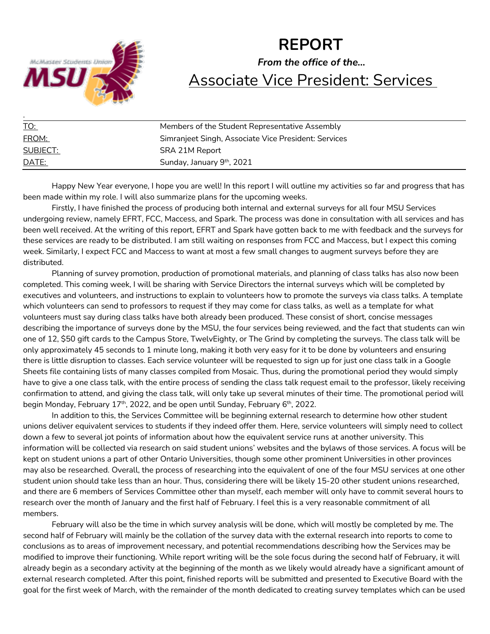

# **REPORT** *From the office of the…* Associate Vice President: Services

| <u>TO:</u>   | Members of the Student Representative Assembly       |
|--------------|------------------------------------------------------|
| FROM:        | Simranjeet Singh, Associate Vice President: Services |
| SUBJECT:     | SRA 21M Report                                       |
| <u>DATE:</u> | Sunday, January 9 <sup>th</sup> , 2021               |

Happy New Year everyone, I hope you are well! In this report I will outline my activities so far and progress that has been made within my role. I will also summarize plans for the upcoming weeks.

Firstly, I have finished the process of producing both internal and external surveys for all four MSU Services undergoing review, namely EFRT, FCC, Maccess, and Spark. The process was done in consultation with all services and has been well received. At the writing of this report, EFRT and Spark have gotten back to me with feedback and the surveys for these services are ready to be distributed. I am still waiting on responses from FCC and Maccess, but I expect this coming week. Similarly, I expect FCC and Maccess to want at most a few small changes to augment surveys before they are distributed.

Planning of survey promotion, production of promotional materials, and planning of class talks has also now been completed. This coming week, I will be sharing with Service Directors the internal surveys which will be completed by executives and volunteers, and instructions to explain to volunteers how to promote the surveys via class talks. A template which volunteers can send to professors to request if they may come for class talks, as well as a template for what volunteers must say during class talks have both already been produced. These consist of short, concise messages describing the importance of surveys done by the MSU, the four services being reviewed, and the fact that students can win one of 12, \$50 gift cards to the Campus Store, TwelvEighty, or The Grind by completing the surveys. The class talk will be only approximately 45 seconds to 1 minute long, making it both very easy for it to be done by volunteers and ensuring there is little disruption to classes. Each service volunteer will be requested to sign up for just one class talk in a Google Sheets file containing lists of many classes compiled from Mosaic. Thus, during the promotional period they would simply have to give a one class talk, with the entire process of sending the class talk request email to the professor, likely receiving confirmation to attend, and giving the class talk, will only take up several minutes of their time. The promotional period will begin Monday, February 17<sup>th</sup>, 2022, and be open until Sunday, February 6<sup>th</sup>, 2022.

In addition to this, the Services Committee will be beginning external research to determine how other student unions deliver equivalent services to students if they indeed offer them. Here, service volunteers will simply need to collect down a few to several jot points of information about how the equivalent service runs at another university. This information will be collected via research on said student unions' websites and the bylaws of those services. A focus will be kept on student unions a part of other Ontario Universities, though some other prominent Universities in other provinces may also be researched. Overall, the process of researching into the equivalent of one of the four MSU services at one other student union should take less than an hour. Thus, considering there will be likely 15-20 other student unions researched, and there are 6 members of Services Committee other than myself, each member will only have to commit several hours to research over the month of January and the first half of February. I feel this is a very reasonable commitment of all members.

February will also be the time in which survey analysis will be done, which will mostly be completed by me. The second half of February will mainly be the collation of the survey data with the external research into reports to come to conclusions as to areas of improvement necessary, and potential recommendations describing how the Services may be modified to improve their functioning. While report writing will be the sole focus during the second half of February, it will already begin as a secondary activity at the beginning of the month as we likely would already have a significant amount of external research completed. After this point, finished reports will be submitted and presented to Executive Board with the goal for the first week of March, with the remainder of the month dedicated to creating survey templates which can be used